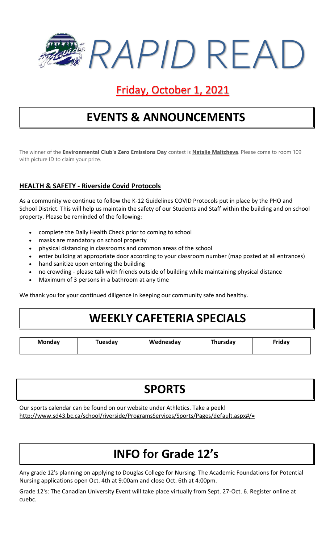

### Friday, October 1, 2021

## **EVENTS & ANNOUNCEMENTS**

The winner of the **Environmental Club's Zero Emissions Day** contest is **Natalie Maltcheva**. Please come to room 109 with picture ID to claim your prize.

#### **HEALTH & SAFETY - Riverside Covid Protocols**

As a community we continue to follow the K-12 Guidelines COVID Protocols put in place by the PHO and School District. This will help us maintain the safety of our Students and Staff within the building and on school property. Please be reminded of the following:

- complete the Daily Health Check prior to coming to school
- masks are mandatory on school property
- physical distancing in classrooms and common areas of the school
- enter building at appropriate door according to your classroom number (map posted at all entrances)
- hand sanitize upon entering the building
- no crowding please talk with friends outside of building while maintaining physical distance
- Maximum of 3 persons in a bathroom at any time

We thank you for your continued diligence in keeping our community safe and healthy.

### **WEEKLY CAFETERIA SPECIALS**

| Monday | Tuesdav | Wednesday | <b>Thursdav</b> | $r$ idov |
|--------|---------|-----------|-----------------|----------|
|        |         |           |                 |          |

# **SPORTS**

Our sports calendar can be found on our website under Athletics. Take a peek! http://www.sd43.bc.ca/school/riverside/ProgramsServices/Sports/Pages/default.aspx#/=

## **INFO for Grade 12's**

Any grade 12's planning on applying to Douglas College for Nursing. The Academic Foundations for Potential Nursing applications open Oct. 4th at 9:00am and close Oct. 6th at 4:00pm.

Grade 12's: The Canadian University Event will take place virtually from Sept. 27-Oct. 6. Register online at cuebc.